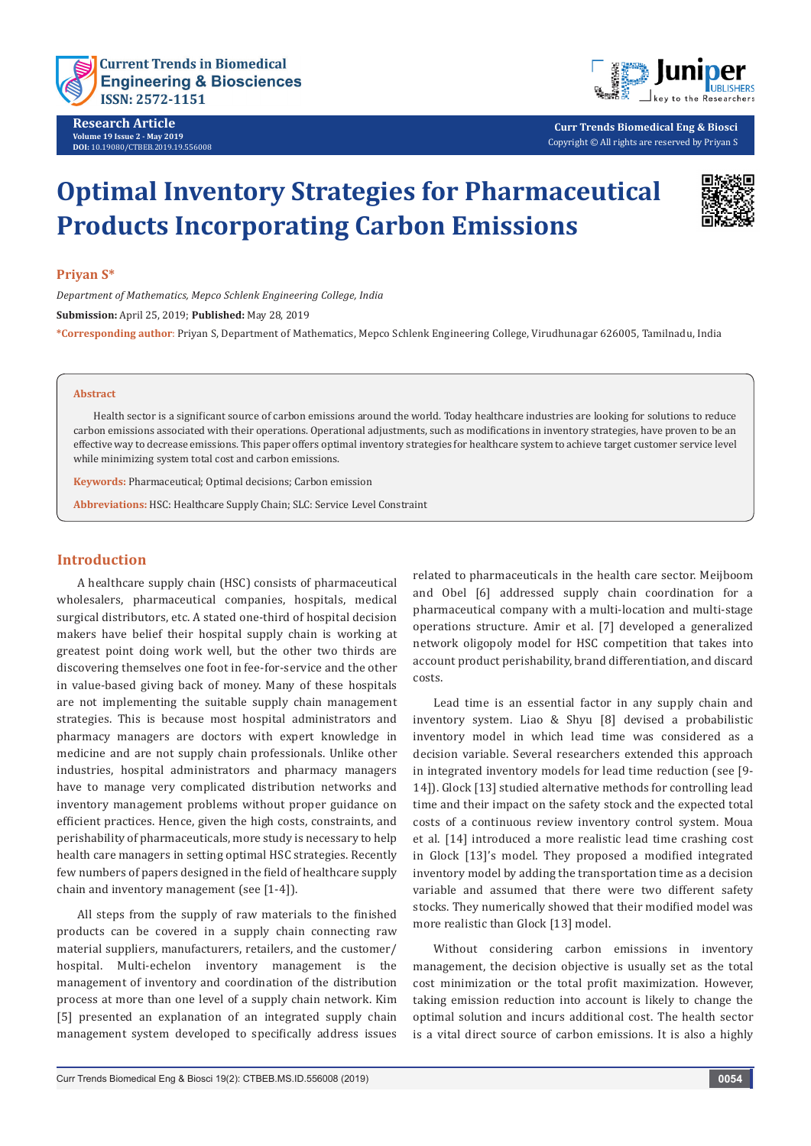

**Research Article Volume 19 Issue 2 - May 2019 DOI:** [10.19080/CTBEB.2019.19.556008](http://dx.doi.org/10.19080/CTBEB.2019.19.556008)



**Curr Trends Biomedical Eng & Biosci** Copyright © All rights are reserved by Priyan S

# **Optimal Inventory Strategies for Pharmaceutical Products Incorporating Carbon Emissions**



#### **Priyan S\***

*Department of Mathematics, Mepco Schlenk Engineering College, India* **Submission:** April 25, 2019; **Published:** May 28, 2019 **\*Corresponding author**: Priyan S, Department of Mathematics, Mepco Schlenk Engineering College, Virudhunagar 626005, Tamilnadu, India

#### **Abstract**

Health sector is a significant source of carbon emissions around the world. Today healthcare industries are looking for solutions to reduce carbon emissions associated with their operations. Operational adjustments, such as modifications in inventory strategies, have proven to be an effective way to decrease emissions. This paper offers optimal inventory strategies for healthcare system to achieve target customer service level while minimizing system total cost and carbon emissions.

**Keywords:** Pharmaceutical; Optimal decisions; Carbon emission

**Abbreviations:** HSC: Healthcare Supply Chain; SLC: Service Level Constraint

# **Introduction**

A healthcare supply chain (HSC) consists of pharmaceutical wholesalers, pharmaceutical companies, hospitals, medical surgical distributors, etc. A stated one-third of hospital decision makers have belief their hospital supply chain is working at greatest point doing work well, but the other two thirds are discovering themselves one foot in fee-for-service and the other in value-based giving back of money. Many of these hospitals are not implementing the suitable supply chain management strategies. This is because most hospital administrators and pharmacy managers are doctors with expert knowledge in medicine and are not supply chain professionals. Unlike other industries, hospital administrators and pharmacy managers have to manage very complicated distribution networks and inventory management problems without proper guidance on efficient practices. Hence, given the high costs, constraints, and perishability of pharmaceuticals, more study is necessary to help health care managers in setting optimal HSC strategies. Recently few numbers of papers designed in the field of healthcare supply chain and inventory management (see [1-4]).

All steps from the supply of raw materials to the finished products can be covered in a supply chain connecting raw material suppliers, manufacturers, retailers, and the customer/ hospital. Multi-echelon inventory management is the management of inventory and coordination of the distribution process at more than one level of a supply chain network. Kim [5] presented an explanation of an integrated supply chain management system developed to specifically address issues

related to pharmaceuticals in the health care sector. Meijboom and Obel [6] addressed supply chain coordination for a pharmaceutical company with a multi-location and multi-stage operations structure. Amir et al. [7] developed a generalized network oligopoly model for HSC competition that takes into account product perishability, brand differentiation, and discard costs.

Lead time is an essential factor in any supply chain and inventory system. Liao & Shyu [8] devised a probabilistic inventory model in which lead time was considered as a decision variable. Several researchers extended this approach in integrated inventory models for lead time reduction (see [9- 14]). Glock [13] studied alternative methods for controlling lead time and their impact on the safety stock and the expected total costs of a continuous review inventory control system. Moua et al. [14] introduced a more realistic lead time crashing cost in Glock [13]'s model. They proposed a modified integrated inventory model by adding the transportation time as a decision variable and assumed that there were two different safety stocks. They numerically showed that their modified model was more realistic than Glock [13] model.

Without considering carbon emissions in inventory management, the decision objective is usually set as the total cost minimization or the total profit maximization. However, taking emission reduction into account is likely to change the optimal solution and incurs additional cost. The health sector is a vital direct source of carbon emissions. It is also a highly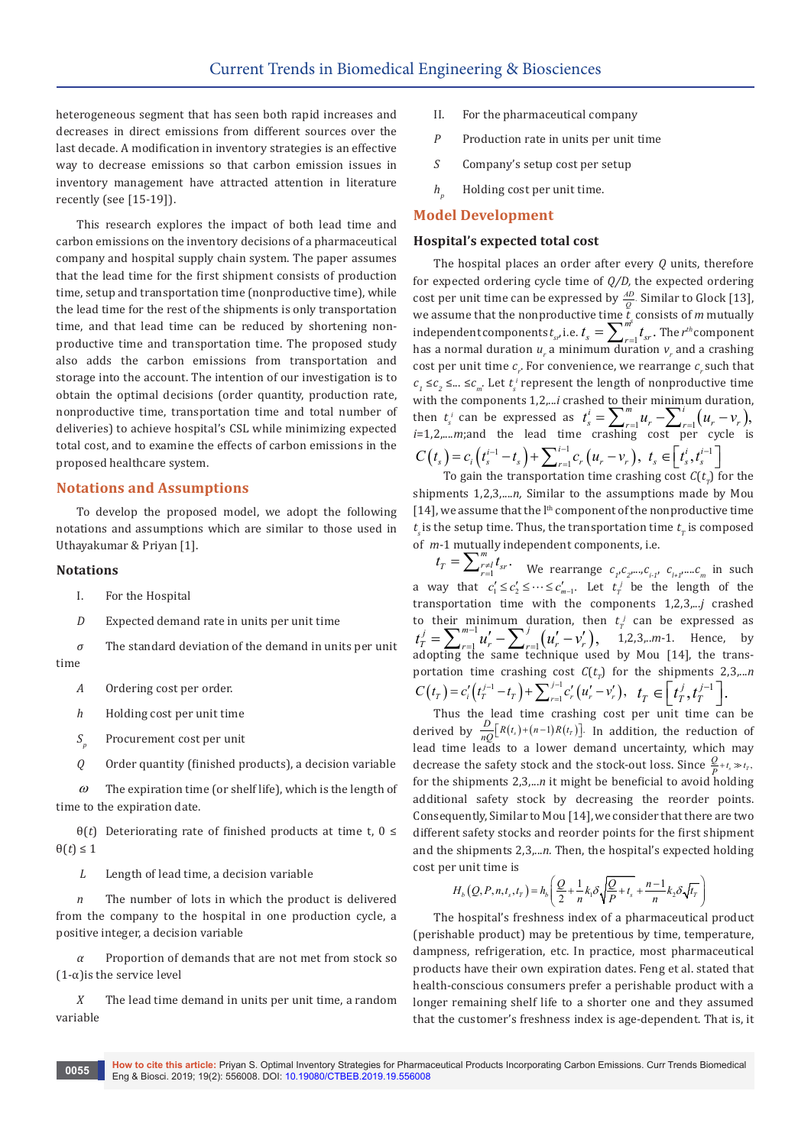heterogeneous segment that has seen both rapid increases and decreases in direct emissions from different sources over the last decade. A modification in inventory strategies is an effective way to decrease emissions so that carbon emission issues in inventory management have attracted attention in literature recently (see [15-19]).

This research explores the impact of both lead time and carbon emissions on the inventory decisions of a pharmaceutical company and hospital supply chain system. The paper assumes that the lead time for the first shipment consists of production time, setup and transportation time (nonproductive time), while the lead time for the rest of the shipments is only transportation time, and that lead time can be reduced by shortening nonproductive time and transportation time. The proposed study also adds the carbon emissions from transportation and storage into the account. The intention of our investigation is to obtain the optimal decisions (order quantity, production rate, nonproductive time, transportation time and total number of deliveries) to achieve hospital's CSL while minimizing expected total cost, and to examine the effects of carbon emissions in the proposed healthcare system.

#### **Notations and Assumptions**

To develop the proposed model, we adopt the following notations and assumptions which are similar to those used in Uthayakumar & Priyan [1].

#### **Notations**

- I. For the Hospital
- *D* Expected demand rate in units per unit time

*σ* The standard deviation of the demand in units per unit time

- *A* Ordering cost per order.
- *h* Holding cost per unit time
- *S<sub>p</sub>* Procurement cost per unit
- *Q* Order quantity (finished products), a decision variable

 $\omega$  The expiration time (or shelf life), which is the length of time to the expiration date.

θ(*t*) Deteriorating rate of finished products at time t, 0 ≤  $\theta(t) \leq 1$ 

*L* Length of lead time, a decision variable

*n* The number of lots in which the product is delivered from the company to the hospital in one production cycle, a positive integer, a decision variable

Proportion of demands that are not met from stock so  $(1-\alpha)$  is the service level

*X* The lead time demand in units per unit time, a random variable

- II. For the pharmaceutical company
- *P* Production rate in units per unit time
- *S* Company's setup cost per setup
- *h*<sub>*n*</sub> Holding cost per unit time.

#### **Model Development**

#### **Hospital's expected total cost**

The hospital places an order after every *Q* units, therefore for expected ordering cycle time of *Q/D,* the expected ordering cost per unit time can be expressed by  $\frac{AD}{Q}$ . Similar to Glock [13], we assume that the nonproductive time  $t_s$  consists of *m* mutually independent components  $t_{sr}$  i.e.  $t_s = \sum_{r=1}^{m} t_{sr}$ . The  $r^{th}$  component has a normal duration  $u_r$  a minimum duration  $v_r$  and a crashing cost per unit time  $c_r$ . For convenience, we rearrange  $c_r$  such that  $c_1$  ≤ $c_2$  ≤... ≤ $c_m$ . Let  $t_s^i$  represent the length of nonproductive time with the components  $1,2,...i$  crashed to their minimum duration, then  $t_s^i$  can be expressed as  $t_s^i = \sum_{r=1}^m u_r - \sum_{r=1}^i (u_r - v_r)$ , *i*=1,2,....*m*;and the lead time crashing cost per cycle is  $C(t_s) = c_i \left( t_s^{i-1} - t_s \right) + \sum_{r=1}^{i-1} c_r \left( u_r - v_r \right), \ t_s \in \left[ t_s^i, t_s^{i-1} \right]$ 

To gain the transportation time crashing cost  $C(t<sub>r</sub>)$  for the shipments 1,2,3,....*n,* Similar to the assumptions made by Mou  $[14]$ , we assume that the  $l<sup>th</sup>$  component of the nonproductive time  $t<sub>s</sub>$  is the setup time. Thus, the transportation time  $t<sub>r</sub>$  is composed of *m*-1 mutually independent components, i.e.

 $t_T = \sum_{r=1}^{m} \sum_{s}^{r} t_{sr}$ . We rearrange  $c_{1}c_{2}$ ,  $c_{i+1}$ ,  $c_{i+1}$ ,  $c_{m}$  in such a way that  $c'_1 \leq c'_2 \leq \cdots \leq c'_{m-1}$ . Let  $t'_r$  be the length of the transportation time with the components 1,2,3,...*j* crashed to their minimum duration, then  $t_i$  can be expressed as  $t_T^j = \sum_{r=1}^{m-1} u'_r - \sum_{r=1}^j (u'_r - v'_r), \quad \text{1,2,3,...m-1. Hence, by}$ adopting the same technique used by Mou [14], the transportation time crashing cost  $C(t_n)$  for the shipments 2,3,...*n*  $C(t_T) = c'_i \left( t_T^{j-1} - t_T \right) + \sum_{r=1}^{j-1} c'_r \left( u'_r - v'_r \right), \quad t_T \in \left[ t_T^j, t_T^{j-1} \right].$ 

Thus the lead time crashing cost per unit time can be derived by  $\frac{D}{nQ}[R(t_s)+(n-1)R(t_r)]$ . In addition, the reduction of lead time leads to a lower demand uncertainty, which may decrease the safety stock and the stock-out loss. Since  $\frac{Q}{P} + t_s \gg t_T$ , for the shipments 2,3,...*n* it might be beneficial to avoid holding additional safety stock by decreasing the reorder points. Consequently, Similar to Mou [14], we consider that there are two different safety stocks and reorder points for the first shipment and the shipments 2,3,...*n.* Then, the hospital's expected holding cost per unit time is

$$
H_b\left(Q, P, n, t_s, t_T\right) = h_b\left(\frac{Q}{2} + \frac{1}{n}k_1\delta\sqrt{\frac{Q}{P} + t_s} + \frac{n-1}{n}k_2\delta\sqrt{t_T}\right)
$$

The hospital's freshness index of a pharmaceutical product (perishable product) may be pretentious by time, temperature, dampness, refrigeration, etc. In practice, most pharmaceutical products have their own expiration dates. Feng et al. stated that health-conscious consumers prefer a perishable product with a longer remaining shelf life to a shorter one and they assumed that the customer's freshness index is age-dependent. That is, it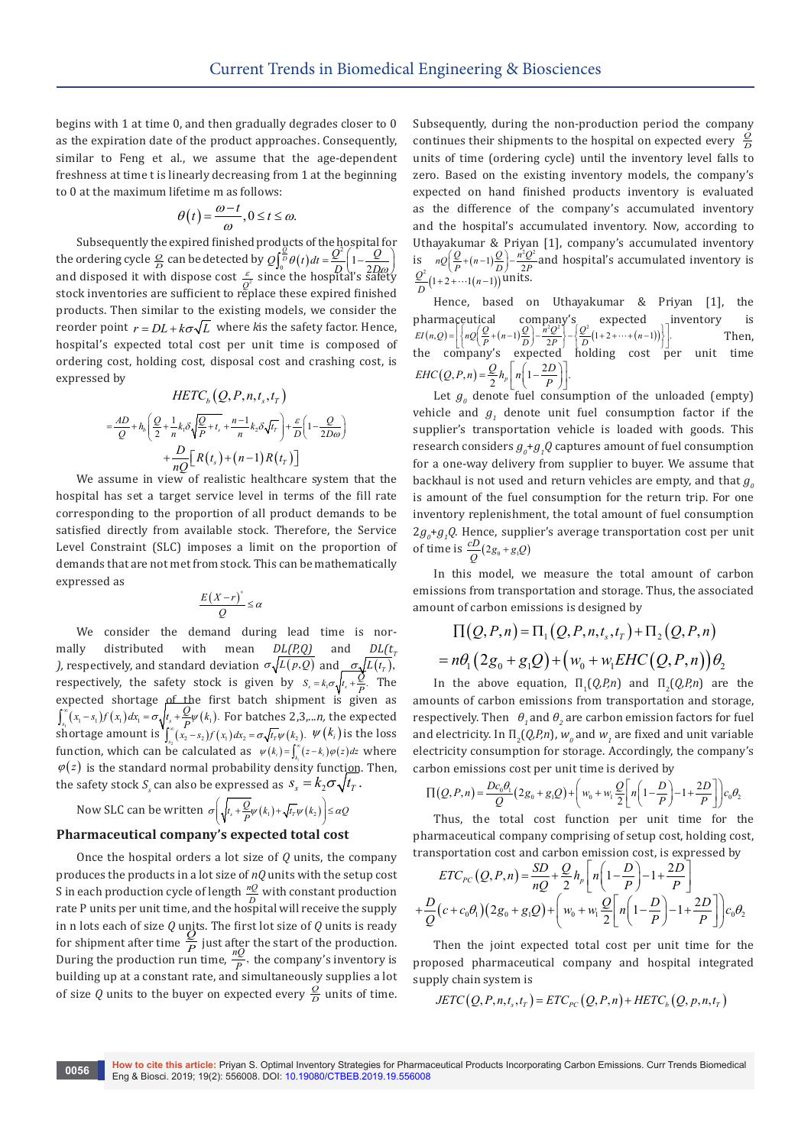begins with 1 at time 0, and then gradually degrades closer to 0 as the expiration date of the product approaches. Consequently, similar to Feng et al., we assume that the age-dependent freshness at time t is linearly decreasing from 1 at the beginning to 0 at the maximum lifetime m as follows:

$$
\theta(t) = \frac{\omega - t}{\omega}, 0 \le t \le \omega.
$$

Subsequently the expired finished products of the hospital for *Q* the ordering cycle  $\frac{Q}{D}$  can be detected by  $Q\int_0^{\frac{Q}{D}} \theta(t) dt = \frac{Q^2}{2} \left(1 - \frac{Q}{2D\omega}\right)$ and disposed it with dispose cost  $\frac{\varepsilon}{Q^2}$  since the hospital's safety stock inventories are sufficient to replace these expired finished products. Then similar to the existing models, we consider the reorder point  $r = DL + k\sigma\sqrt{L}$  where *k* is the safety factor. Hence, hospital's expected total cost per unit time is composed of ordering cost, holding cost, disposal cost and crashing cost, is expressed by

$$
HETC_b(Q, P, n, t_s, t_T)
$$
  
=  $\frac{AD}{Q} + h_b \left( \frac{Q}{2} + \frac{1}{n} k_t \delta \sqrt{\frac{Q}{P} + t_s} + \frac{n-1}{n} k_2 \delta \sqrt{t_r} \right) + \frac{\varepsilon}{D} \left( 1 - \frac{Q}{2D\omega} \right)$   
+  $\frac{D}{nQ} \left[ R(t_s) + (n-1) R(t_T) \right]$ 

We assume in view of realistic healthcare system that the hospital has set a target service level in terms of the fill rate corresponding to the proportion of all product demands to be satisfied directly from available stock. Therefore, the Service Level Constraint (SLC) imposes a limit on the proportion of demands that are not met from stock. This can be mathematically expressed as

$$
\frac{E(X-r)^{+}}{Q} \leq \alpha
$$

We consider the demand during lead time is normally distributed with mean  $DL(P,Q)$  and  $DL(t<sub>r</sub>)$ *)*, respectively, and standard deviation  $\sigma \sqrt{L(p,Q)}$  and  $\sigma \sqrt{L(t_r)}$ , respectively, the safety stock is given by  $S_s = k_1 \sigma \sqrt{t_s + \frac{Q}{P}}$ . The expected shortage of the first batch shipment is given as  $\int_{s_1}^{s_2} (x_1 - s_1) f(x_1) dx_1 = \sigma \sqrt{t_s + \frac{Q}{\epsilon^2} \mu(k_1)}$ . For batches 2,3,...*n*, the expected shortage amount is  $\int_{s_1}^{\infty} (x_2 - s_2) f(x_1) dx_2 = \sigma \sqrt{t_r} \psi(k_2)$ .  $\psi(k_i)$  is the loss function, which can be calculated as  $\psi(k_i) = \int_{k_i}^{\infty} (z - k_i) \varphi(z) dz$  where  $\varphi(z)$  is the standard normal probability density function. Then, the safety stock  $S_s$  can also be expressed as  $S_s = k_2 \sigma \sqrt{t_T}$ .

Now SLC can be written  $\sigma\left(\sqrt{t_s + \frac{Q}{P}}\psi\left(k_1\right) + \sqrt{t_r}\psi\left(k_2\right)\right) \leq \alpha Q$ 

### **Pharmaceutical company's expected total cost**

Once the hospital orders a lot size of *Q* units, the company produces the products in a lot size of *nQ* units with the setup cost S in each production cycle of length  $\frac{nQ}{D}$  with constant production rate P units per unit time, and the hospital will receive the supply in n lots each of size *Q* units. The first lot size of *Q* units is ready for shipment after time  $\frac{Q}{P}$  just after the start of the production.<br>During the production run time,  $\frac{nQ}{P}$ , the company's inventory is building up at a constant rate, and simultaneously supplies a lot of size  $Q$  units to the buyer on expected every  $\frac{Q}{D}$  units of time. Subsequently, during the non-production period the company continues their shipments to the hospital on expected every  $\frac{Q}{D}$ units of time (ordering cycle) until the inventory level falls to zero. Based on the existing inventory models, the company's expected on hand finished products inventory is evaluated as the difference of the company's accumulated inventory and the hospital's accumulated inventory. Now, according to Uthayakumar & Priyan [1], company's accumulated inventory<br>is  $nQ \left(\frac{Q}{P} + (n-1)\frac{Q}{D}\right) - \frac{n^2 Q^2}{2P}$  and hospital's accumulated inventory is  $\frac{Q^2}{D}$  (1+2+…1(*n*-1)) units.

Hence, based on Uthayakumar & Priyan [1], the pharmaceutical company's expected inventory is  $EI(n,Q) = \left\{ nQ \left( \frac{Q}{P} + (n-1) \frac{Q}{D} \right) - \frac{n^2 Q^2}{2P} \right\} - \left\{ \frac{Q^2}{D} (1 + 2 + \dots + (n-1)) \right\} \right\}$  Then, the company's expected holding cost per unit time  $EHC(Q, P, n) = \frac{Q}{2}h_p\left[n\left(1-\frac{2D}{P}\right)\right].$ 

Let  $g_{\theta}$  denote fuel consumption of the unloaded (empty) vehicle and  $g_1$  denote unit fuel consumption factor if the supplier's transportation vehicle is loaded with goods. This research considers  $g_{\varrho}$ + $g_{\varrho}$ Q captures amount of fuel consumption for a one-way delivery from supplier to buyer. We assume that backhaul is not used and return vehicles are empty, and that  $g<sub>o</sub>$ is amount of the fuel consumption for the return trip. For one inventory replenishment, the total amount of fuel consumption  $2g_{\rho}$ + $g_{\rho}$ Q. Hence, supplier's average transportation cost per unit of time is  $\frac{cD}{Q}(2g_0 + g_1 Q)$ 

In this model, we measure the total amount of carbon emissions from transportation and storage. Thus, the associated amount of carbon emissions is designed by

$$
\Pi(Q, P, n) = \Pi_1(Q, P, n, t_s, t_T) + \Pi_2(Q, P, n)
$$
  
=  $n\theta_1(2g_0 + g_1Q) + (w_0 + w_1EHC(Q, P, n))\theta_2$ 

In the above equation,  $\Pi_1(Q, P, n)$  and  $\Pi_2(Q, P, n)$  are the amounts of carbon emissions from transportation and storage, respectively. Then  $\theta_1$  and  $\theta_2$  are carbon emission factors for fuel and electricity. In  $\Pi_2(Q, P, n)$ ,  $w_o$  and  $w_1$  are fixed and unit variable electricity consumption for storage. Accordingly, the company's carbon emissions cost per unit time is derived by

$$
\Pi(Q, P, n) = \frac{Dc_0\theta_1}{Q}(2g_0 + g_1Q) + \left(w_0 + w_1\frac{Q}{2}\left[n\left(1 - \frac{D}{P}\right) - 1 + \frac{2D}{P}\right]\right)c_0\theta_2
$$

Thus, the total cost function per unit time for the pharmaceutical company comprising of setup cost, holding cost, transportation cost and carbon emission cost, is expressed by

$$
ETC_{PC}(Q, P, n) = \frac{SD}{nQ} + \frac{Q}{2}h_p \left[ n \left( 1 - \frac{D}{P} \right) - 1 + \frac{2D}{P} \right]
$$
  
+  $\frac{D}{Q}(c + c_0 \theta_1)(2g_0 + g_1 Q) + \left( w_0 + w_1 \frac{Q}{2} \left[ n \left( 1 - \frac{D}{P} \right) - 1 + \frac{2D}{P} \right] \right) c_0 \theta_2$ 

Then the joint expected total cost per unit time for the proposed pharmaceutical company and hospital integrated supply chain system is

$$
JETC(Q, P, n, t_s, t_T) = ETC_{PC}(Q, P, n) + HETC_b(Q, p, n, t_T)
$$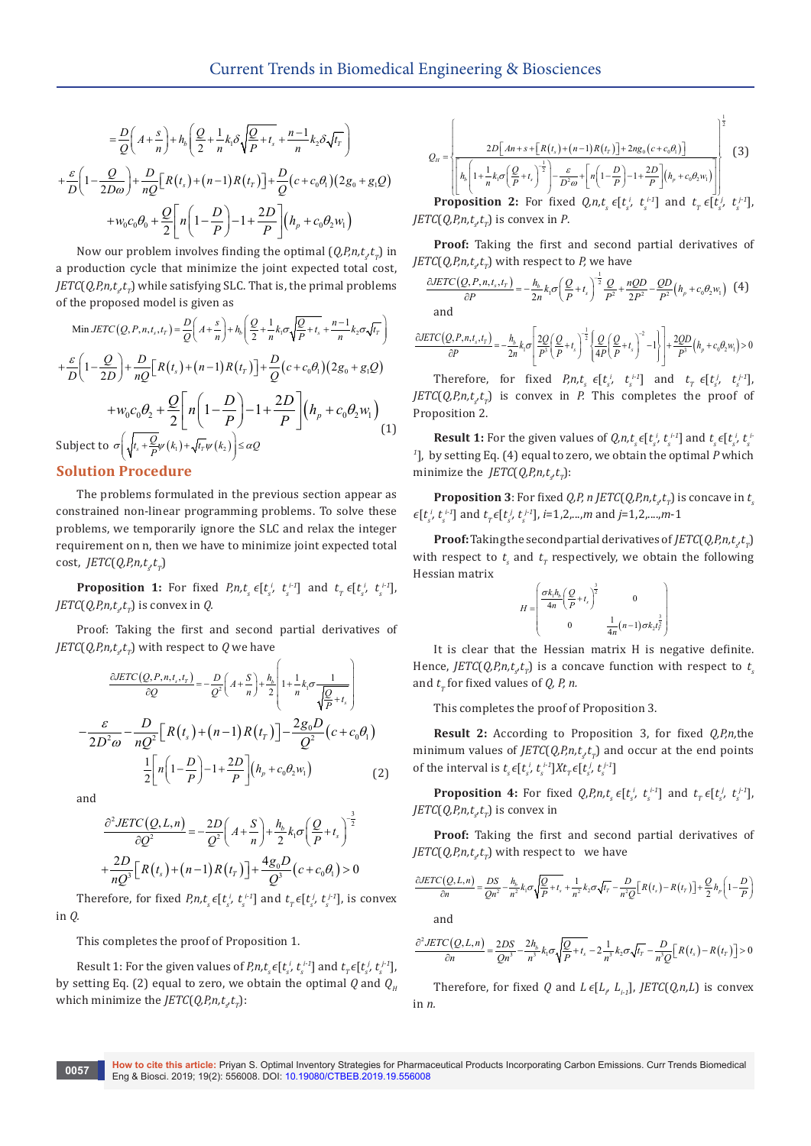$$
= \frac{D}{Q}\left(A + \frac{s}{n}\right) + h_b\left(\frac{Q}{2} + \frac{1}{n}k_1\delta\sqrt{\frac{Q}{P} + t_s} + \frac{n-1}{n}k_2\delta\sqrt{t_r}\right)
$$

$$
+ \frac{\varepsilon}{D}\left(1 - \frac{Q}{2D\omega}\right) + \frac{D}{nQ}\left[R\left(t_s\right) + \left(n-1\right)R\left(t_r\right)\right] + \frac{D}{Q}\left(c + c_0\theta_1\right)\left(2g_0 + g_1Q\right)
$$

$$
+ w_0c_0\theta_0 + \frac{Q}{2}\left[n\left(1 - \frac{D}{P}\right) - 1 + \frac{2D}{P}\right]\left(h_p + c_0\theta_2w_1\right)
$$

Now our problem involves finding the optimal  $(Q, P, n, t, t)$  in a production cycle that minimize the joint expected total cost, *JETC*( $Q$ *,P*, $n$ , $t$ <sub>s</sub> $t$ <sub> $_{T}$ </sub>) while satisfying SLC. That is, the primal problems of the proposed model is given as

Min JETC (Q, P, n, t<sub>s</sub>, t<sub>r</sub>) = 
$$
\frac{D}{Q}\left(A + \frac{s}{n}\right) + h_b\left(\frac{Q}{2} + \frac{1}{n}k_1\sigma\sqrt{\frac{Q}{P} + t_s} + \frac{n-1}{n}k_2\sigma\sqrt{t_r}\right)
$$
  
+  $\frac{\varepsilon}{D}\left(1 - \frac{Q}{2D}\right) + \frac{D}{nQ}\left[R(t_s) + (n-1)R(t_r)\right] + \frac{D}{Q}(c + c_0\theta_1)(2g_0 + g_1Q)$   
+  $w_0c_0\theta_2 + \frac{Q}{2}\left[n\left(1 - \frac{D}{P}\right) - 1 + \frac{2D}{P}\right]\left(h_p + c_0\theta_2w_1\right)$   
Subject to  $\sigma\left(\sqrt{t_s + \frac{Q}{P}}\psi(k_1) + \sqrt{t_r}\psi(k_2)\right) \leq \alpha Q$  (1)

# **Solution Procedure**

The problems formulated in the previous section appear as constrained non-linear programming problems. To solve these problems, we temporarily ignore the SLC and relax the integer requirement on n, then we have to minimize joint expected total  $cost, \textit{JETC}(Q, P, n, t, t_p)$ 

**Proposition 1:** For fixed *P,n,t<sub>s</sub>*  $\epsilon[t_s^i, t_s^{i-1}]$  and  $t_r \epsilon[t_s^i, t_s^{i-1}]$ , *JETC*(*Q,P,n,t<sub>s</sub>* $t_r$ ) is convex in *Q.* 

Proof: Taking the first and second partial derivatives of *JETC*(*Q,P,n,t<sub>s</sub>t<sub>T</sub>*) with respect to *Q* we have

$$
\frac{\partial ETC(Q, P, n, t_s, t_r)}{\partial Q} = -\frac{D}{Q^2} \left( A + \frac{S}{n} \right) + \frac{h_b}{2} \left( 1 + \frac{1}{n} k_i \sigma \frac{1}{\sqrt{\frac{Q}{P} + t_s}} \right)
$$

$$
-\frac{\varepsilon}{2D^2 \omega} - \frac{D}{nQ^2} \left[ R(t_s) + (n-1)R(t_r) \right] - \frac{2g_0 D}{Q^2} (c + c_0 \theta_1)
$$

$$
\frac{1}{2} \left[ n \left( 1 - \frac{D}{P} \right) - 1 + \frac{2D}{P} \right] (h_p + c_0 \theta_2 w_1) \tag{2}
$$

and

$$
\frac{\partial^2 JETC(Q, L, n)}{\partial Q^2} = -\frac{2D}{Q^2} \left( A + \frac{S}{n} \right) + \frac{h_b}{2} k_1 \sigma \left( \frac{Q}{P} + t_s \right)^{-\frac{3}{2}}
$$

$$
+ \frac{2D}{nQ^3} \left[ R(t_s) + (n-1)R(t_T) \right] + \frac{4g_b D}{Q^3} (c + c_0 \theta_1) > 0
$$

Therefore, for fixed  $P_i n, t_s \in [t_s^i, t_s^{i-1}]$  and  $t_r \in [t_s^j, t_s^{j-1}]$ , is convex in *Q.*

This completes the proof of Proposition 1.

Result 1: For the given values of  $P_i n, t_s \in [t_s^i, t_s^{i-1}]$  and  $t_r \in [t_s^i, t_s^{i-1}]$ , by setting Eq. (2) equal to zero, we obtain the optimal *Q* and  $Q_u$ which minimize the *JETC*(*Q,P,n,t<sub>s</sub>t<sub>r</sub>*):

$$
Q_{H} = \left\{\frac{2D\left[An+s+\left[R(t_{r})+(n-1)R(t_{r})\right]+2ng_{0}\left(c+c_{0}\theta_{1}\right)\right]}{h_{b}\left(1+\frac{1}{n}k_{t}\sigma\left(\frac{Q}{P}+t_{s}\right)^{\frac{1}{2}}\right)-\frac{\varepsilon}{D^{2}\omega}+\left[n\left(1-\frac{D}{P}\right)-1+\frac{2D}{P}\right]\left(h_{p}+c_{0}\theta_{2}w_{1}\right)\right]}\right\}
$$
(3)  
Proposition 2: For fixed *Q* at  $\varepsilon$  [t<sup>*i*</sup> t<sup>*i*</sup>1 and t<sup>*i*</sup> t<sup>*i*</sup>1

**Proposition 2:** For fixed  $Q_i n_i t_s \epsilon[t_s^i, t_s^{i-1}]$  and  $t_r \epsilon[t_s^i, t_s^{i-1}]$ ,  $JETC(Q, P, n, t<sub>s</sub>, t<sub>T</sub>)$  is convex in *P*.

**Proof:** Taking the first and second partial derivatives of *JETC(Q,P,n,t<sub>s</sub>t<sub>r</sub>)* with respect to *P,* we have

$$
\frac{\partial \text{ETC}(Q, P, n, t_s, t_r)}{\partial P} = -\frac{h_b}{2n} k_1 \sigma \left(\frac{Q}{P} + t_s\right)^{-\frac{1}{2}} \frac{Q}{P^2} + \frac{nQD}{2P^2} - \frac{QD}{P^2} \left(h_p + c_0 \theta_2 w_1\right)
$$
 (4)

$$
\frac{\partial ETC(Q, P, n, t_s, t_r)}{\partial P} = -\frac{h_b}{2n} k_1 \sigma \left[ \frac{2Q}{P^3} \left( \frac{Q}{P} + t_s \right)^{-\frac{1}{2}} \left\{ \frac{Q}{4P} \left( \frac{Q}{P} + t_s \right)^{-2} - 1 \right\} \right] + \frac{2QD}{P^3} \left( h_p + c_0 \theta_2 w_1 \right) > 0
$$

Therefore, for fixed  $P,n,t_s \in [t_s^i, t_s^{i-1}]$  and  $t_r \in [t_s^i, t_s^{i-1}]$ ,  $JETC(Q, P, n, t, t)$  is convex in *P.* This completes the proof of Proposition 2.

**Result 1:** For the given values of  $Q_i n, t_s \in [t_s^i, t_s^{i-1}]$  and  $t_s \in [t_s^i, t_s^{i-1}]$ *1* ], by setting Eq. (4) equal to zero, we obtain the optimal *P* which minimize the *JETC*(*Q,P,n,t<sub>s</sub>* $t_r$ ):

**Proposition 3**: For fixed *Q,P, n JETC*(*Q,P,n,t<sub>s</sub>t<sub>r</sub>*) is concave in  $t_s$  $\epsilon[t_s^i, t_s^{i-1}]$  and  $t_r \epsilon[t_s^j, t_s^{j-1}]$ , *i*=1,2,...,*m* and *j*=1,2,....,*m*-1

**Proof:** Taking the second partial derivatives of  $JETC(Q, P, n, t, t_T)$ with respect to  $t_{s}$  and  $t_{T}$  respectively, we obtain the following Hessian matrix

$$
H = \begin{pmatrix} \frac{\sigma k_1 h_b}{4n} \left(\frac{Q}{P} + t_s\right)^{\frac{3}{2}} & 0 \\ 0 & \frac{1}{4n} (n-1) \sigma k_s t_f^{\frac{3}{2}} \end{pmatrix}
$$

It is clear that the Hessian matrix H is negative definite. Hence,  $JETC(Q, P, n, t_s t_r)$  is a concave function with respect to  $t_s$ and  $t_r$  for fixed values of *Q, P, n.* 

This completes the proof of Proposition 3.

**Result 2:** According to Proposition 3, for fixed *Q,P,n,*the minimum values of  $JETC(Q, P, n, t, t)$  and occur at the end points of the interval is  $t_s \in [t_s^i, t_s^{i-1}]Xt_\tau \in [t_s^i, t_s^{j-1}]$ 

**Proposition 4:** For fixed  $Q, P, n, t_s \in [t_s^i, t_s^{i-1}]$  and  $t_r \in [t_s^i, t_s^{i-1}]$ , *JETC*(*Q,P,n,t<sub>s</sub>t<sub>r</sub>*) is convex in

**Proof:** Taking the first and second partial derivatives of *JETC(Q,P,n,t<sub>s</sub>t<sub>r</sub>)* with respect to we have

$$
\frac{\partial ETC(Q, L, n)}{\partial n} = \frac{DS}{Qn^2} - \frac{h_b}{n^2} k_1 \sigma \sqrt{\frac{Q}{P} + t_s} + \frac{1}{n^2} k_2 \sigma \sqrt{t_r} - \frac{D}{n^2 Q} \Big[R(t_s) - R(t_r)\Big] + \frac{Q}{2} h_p \left(1 - \frac{D}{P}\right)
$$

and

$$
\frac{\partial^2 JETC\left(Q, L, n\right)}{\partial n} = \frac{2DS}{Qn^3} - \frac{2h_b}{n^3} k_1 \sigma \sqrt{\frac{Q}{P} + t_s} - 2\frac{1}{n^3} k_2 \sigma \sqrt{t_r} - \frac{D}{n^3 Q} \Big[ R\left(t_s\right) - R\left(t_r\right) \Big] > 0
$$

Therefore, for fixed *Q* and *L*  $\epsilon[L_i, L_{i,1}],$  *JETC*(*Q,n,L*) is convex in *n.*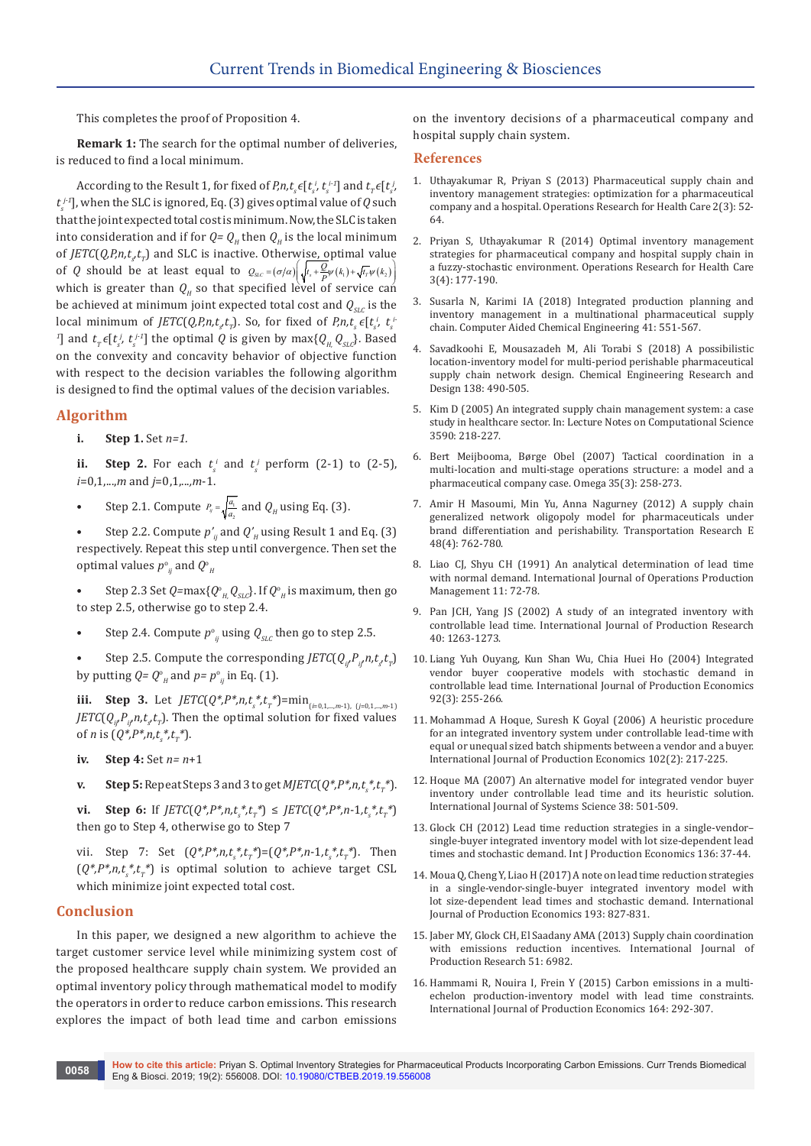This completes the proof of Proposition 4.

**Remark 1:** The search for the optimal number of deliveries, is reduced to find a local minimum.

According to the Result 1, for fixed of  $P_r n, t_s \in [t_s^i, t_s^{i-1}]$  and  $t_r \in [t_s^i, t_s^{i-1}]$  $t_s^{j_1}$ , when the SLC is ignored, Eq. (3) gives optimal value of  $Q$  such that the joint expected total cost is minimum. Now, the SLC is taken into consideration and if for  $Q = Q_H$  then  $Q_H$  is the local minimum of *JETC*(*Q,P,n,t<sub>s</sub>t<sub>r</sub>*) and SLC is inactive. Otherwise, optimal value of *Q* should be at least equal to  $Q_{SIC} = (\sigma/\alpha) \left| \sqrt{t_s + \frac{Q}{\rho} \psi(k_1) + \sqrt{t_r} \psi(k_2)} \right|$ which is greater than  $Q_H$  so that specified level of service can be achieved at minimum joint expected total cost and  $Q_{SL}$  is the local minimum of *JETC*(*Q,P,n,t<sub>s</sub>t<sub>r</sub>*). So, for fixed of *P,n,t<sub>s</sub>*  $\epsilon$ [ $t_s^i$ ,  $t_s^i$ <sup>1</sup>] and  $t_r \in [t_s^j, t_s^{j-1}]$  the optimal *Q* is given by max $\{Q_H, Q_{SLc}\}$ . Based on the convexity and concavity behavior of objective function with respect to the decision variables the following algorithm is designed to find the optimal values of the decision variables.

# **Algorithm**

**i. Step 1.** Set *n=1.*

**ii. Step 2.** For each  $t_s^i$  and  $t_s^j$  perform (2-1) to (2-5), *i*=0,1,...,*m* and *j*=0,1,...*,m*-1.

- Step 2.1. Compute  $P_{ij} = \sqrt{\frac{a_i}{a_2}}$  and  $Q_H$  using Eq. (3).
- Step 2.2. Compute  $p'_n$  and  $Q'_n$  using Result 1 and Eq. (3) respectively. Repeat this step until convergence. Then set the optimal values  $p^{\circ}_{ij}$  and  $Q^{\circ}_{H}$

• Step 2.3 Set  $Q = \max\{Q_{H_i}^{\circ}, Q_{SLC}\}\$ . If  $Q_{H_i}^{\circ}$  is maximum, then go to step 2.5, otherwise go to step 2.4.

- Step 2.4. Compute  $p_{ij}^{\circ}$  using  $Q_{SLC}$  then go to step 2.5.
- Step 2.5. Compute the corresponding *JETC*( $Q_{i}P_{i}n,t_{s}t_{T}$ ) by putting  $Q = Q^{\circ}_{\mu}$  and  $p = p^{\circ}_{\mu}$  in Eq. (1).

**iii. Step 3.** Let  $JETC(Q^*, P^*, n, t_{s_*}^*, t_{T_*}^*) = \min_{(i=0,1,\dots,m-1), (j=0,1,\dots,m-1)}$ *JETC*( $Q_{ij}P_{ij}n$ , $t_st_t$ ). Then the optimal solution for fixed values of *n* is  $(Q^*, P^*, n, t_s^*, t_r^*)$ .

- **iv. Step 4:** Set *n= n*+1
- **v. Step 5:** Repeat Steps 3 and 3 to get  $MJETC(Q^*, P^*, n, t_s^*, t_r^*)$ .

**vi. Step 6:** If  $JETC(Q^*, P^*, n, t_s^*, t_r^*) \leq JETC(Q^*, P^*, n-1, t_s^*, t_r^*)$ then go to Step 4, otherwise go to Step 7

vii. Step 7: Set  $(Q^*, P^*, n, t^*, t^*_T) = (Q^*, P^*, n - 1, t^*_s, t^*_T)$ . Then  $(Q^*, P^*, n, t_{s}^*, t_{T}^*)$  is optimal solution to achieve target CSL which minimize joint expected total cost.

#### **Conclusion**

In this paper, we designed a new algorithm to achieve the target customer service level while minimizing system cost of the proposed healthcare supply chain system. We provided an optimal inventory policy through mathematical model to modify the operators in order to reduce carbon emissions. This research explores the impact of both lead time and carbon emissions

on the inventory decisions of a pharmaceutical company and hospital supply chain system.

#### **References**

- 1. [Uthayakumar R, Priyan S \(2013\) Pharmaceutical supply chain and](https://www.sciencedirect.com/science/article/abs/pii/S2211692313000155)  [inventory management strategies: optimization for a pharmaceutical](https://www.sciencedirect.com/science/article/abs/pii/S2211692313000155)  [company and a hospital. Operations Research for Health Care 2\(3\): 52-](https://www.sciencedirect.com/science/article/abs/pii/S2211692313000155) [64.](https://www.sciencedirect.com/science/article/abs/pii/S2211692313000155)
- 2. [Priyan S, Uthayakumar R \(2014\) Optimal inventory management](https://www.sciencedirect.com/science/article/abs/pii/S2211692314200063)  [strategies for pharmaceutical company and hospital supply chain in](https://www.sciencedirect.com/science/article/abs/pii/S2211692314200063)  [a fuzzy-stochastic environment. Operations Research for Health Care](https://www.sciencedirect.com/science/article/abs/pii/S2211692314200063)  [3\(4\): 177-190.](https://www.sciencedirect.com/science/article/abs/pii/S2211692314200063)
- 3. [Susarla N, Karimi IA \(2018\) Integrated production planning and](https://www.sciencedirect.com/science/article/pii/B9780444639639000221)  [inventory management in a multinational pharmaceutical supply](https://www.sciencedirect.com/science/article/pii/B9780444639639000221)  [chain. Computer Aided Chemical Engineering 41: 551-567.](https://www.sciencedirect.com/science/article/pii/B9780444639639000221)
- 4. [Savadkoohi E, Mousazadeh M, Ali Torabi S \(2018\) A possibilistic](https://www.sciencedirect.com/science/article/pii/S0263876218304519)  [location-inventory model for multi-period perishable pharmaceutical](https://www.sciencedirect.com/science/article/pii/S0263876218304519)  [supply chain network design. Chemical Engineering Research and](https://www.sciencedirect.com/science/article/pii/S0263876218304519)  [Design 138: 490-505.](https://www.sciencedirect.com/science/article/pii/S0263876218304519)
- 5. Kim D (2005) An integrated supply chain management system: a case study in healthcare sector. In: Lecture Notes on Computational Science 3590: 218-227.
- 6. [Bert Meijbooma, Børge Obel \(2007\) Tactical coordination in a](https://www.sciencedirect.com/science/article/pii/S0305048305000885)  [multi-location and multi-stage operations structure: a model and a](https://www.sciencedirect.com/science/article/pii/S0305048305000885)  [pharmaceutical company case. Omega 35\(3\): 258-273.](https://www.sciencedirect.com/science/article/pii/S0305048305000885)
- 7. [Amir H Masoumi, Min Yu, Anna Nagurney \(2012\) A supply chain](https://www.sciencedirect.com/science/article/pii/S1366554512000105)  [generalized network oligopoly model for pharmaceuticals under](https://www.sciencedirect.com/science/article/pii/S1366554512000105)  [brand differentiation and perishability. Transportation Research E](https://www.sciencedirect.com/science/article/pii/S1366554512000105)  [48\(4\): 762-780.](https://www.sciencedirect.com/science/article/pii/S1366554512000105)
- 8. Liao CJ, Shyu CH (1991) An analytical determination of lead time with normal demand. International Journal of Operations Production Management 11: 72-78.
- 9. Pan JCH, Yang JS (2002) A study of an integrated inventory with controllable lead time. International Journal of Production Research 40: 1263-1273.
- 10. [Liang Yuh Ouyang, Kun Shan Wu, Chia Huei Ho \(2004\) Integrated](https://www.sciencedirect.com/science/article/pii/S0925527303003232)  [vendor buyer cooperative models with stochastic demand in](https://www.sciencedirect.com/science/article/pii/S0925527303003232)  [controllable lead time. International Journal of Production Economics](https://www.sciencedirect.com/science/article/pii/S0925527303003232)  [92\(3\): 255-266.](https://www.sciencedirect.com/science/article/pii/S0925527303003232)
- 11. [Mohammad A Hoque, Suresh K Goyal \(2006\) A heuristic procedure](https://www.sciencedirect.com/science/article/pii/S0925527305000721)  [for an integrated inventory system under controllable lead-time with](https://www.sciencedirect.com/science/article/pii/S0925527305000721)  [equal or unequal sized batch shipments between a vendor and a buyer.](https://www.sciencedirect.com/science/article/pii/S0925527305000721)  [International Journal of Production Economics 102\(2\): 217-225.](https://www.sciencedirect.com/science/article/pii/S0925527305000721)
- 12. Hoque MA (2007) An alternative model for integrated vendor buyer inventory under controllable lead time and its heuristic solution. International Journal of Systems Science 38: 501-509.
- 13. Glock CH (2012) Lead time reduction strategies in a single-vendor– single-buyer integrated inventory model with lot size-dependent lead times and stochastic demand. Int J Production Economics 136: 37-44.
- 14. Moua Q, Cheng Y, Liao H (2017) A note on lead time reduction strategies in a single-vendor-single-buyer integrated inventory model with lot size-dependent lead times and stochastic demand. International Journal of Production Economics 193: 827-831.
- 15. Jaber MY, Glock CH, El Saadany AMA (2013) Supply chain coordination with emissions reduction incentives. International Journal of Production Research 51: 6982.
- 16. [Hammami R, Nouira I, Frein Y \(2015\) Carbon emissions in a multi](https://www.sciencedirect.com/science/article/pii/S0925527314004009)[echelon production-inventory model with lead time constraints.](https://www.sciencedirect.com/science/article/pii/S0925527314004009)  [International Journal of Production Economics 164: 292-307.](https://www.sciencedirect.com/science/article/pii/S0925527314004009)